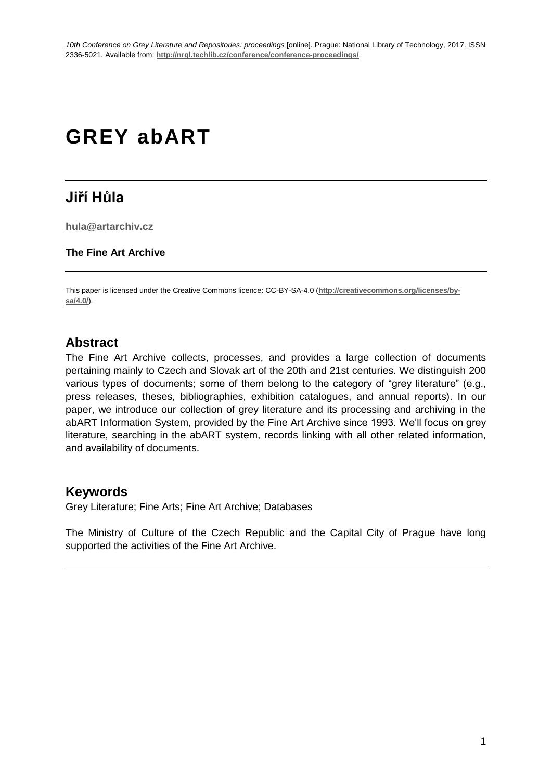# **GREY abART**

# **Jiří Hůla**

**hula@artarchiv.cz**

#### **The Fine Art Archive**

This paper is licensed under the Creative Commons licence: CC-BY-SA-4.0 (**[http://creativecommons.org/licenses/by](http://creativecommons.org/licenses/by-sa/4.0/)[sa/4.0/](http://creativecommons.org/licenses/by-sa/4.0/)**).

# **Abstract**

The Fine Art Archive collects, processes, and provides a large collection of documents pertaining mainly to Czech and Slovak art of the 20th and 21st centuries. We distinguish 200 various types of documents; some of them belong to the category of "grey literature" (e.g., press releases, theses, bibliographies, exhibition catalogues, and annual reports). In our paper, we introduce our collection of grey literature and its processing and archiving in the abART Information System, provided by the Fine Art Archive since 1993. We'll focus on grey literature, searching in the abART system, records linking with all other related information, and availability of documents.

### **Keywords**

Grey Literature; Fine Arts; Fine Art Archive; Databases

The Ministry of Culture of the Czech Republic and the Capital City of Prague have long supported the activities of the Fine Art Archive.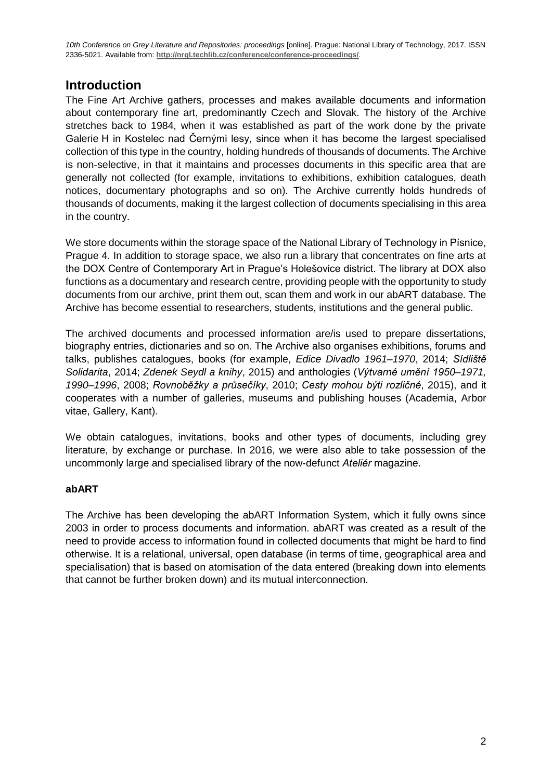# **Introduction**

The Fine Art Archive gathers, processes and makes available documents and information about contemporary fine art, predominantly Czech and Slovak. The history of the Archive stretches back to 1984, when it was established as part of the work done by the private Galerie H in Kostelec nad Černými lesy, since when it has become the largest specialised collection of this type in the country, holding hundreds of thousands of documents. The Archive is non-selective, in that it maintains and processes documents in this specific area that are generally not collected (for example, invitations to exhibitions, exhibition catalogues, death notices, documentary photographs and so on). The Archive currently holds hundreds of thousands of documents, making it the largest collection of documents specialising in this area in the country.

We store documents within the storage space of the National Library of Technology in Písnice, Prague 4. In addition to storage space, we also run a library that concentrates on fine arts at the DOX Centre of Contemporary Art in Prague's Holešovice district. The library at DOX also functions as a documentary and research centre, providing people with the opportunity to study documents from our archive, print them out, scan them and work in our abART database. The Archive has become essential to researchers, students, institutions and the general public.

The archived documents and processed information are/is used to prepare dissertations, biography entries, dictionaries and so on. The Archive also organises exhibitions, forums and talks, publishes catalogues, books (for example, *Edice Divadlo 1961–1970*, 2014; *Sídliště Solidarita*, 2014; *Zdenek Seydl a knihy*, 2015) and anthologies (*Výtvarné umění 1950–1971, 1990–1996*, 2008; *Rovnoběžky a průsečíky*, 2010; *Cesty mohou býti rozličné*, 2015), and it cooperates with a number of galleries, museums and publishing houses (Academia, Arbor vitae, Gallery, Kant).

We obtain catalogues, invitations, books and other types of documents, including grey literature, by exchange or purchase. In 2016, we were also able to take possession of the uncommonly large and specialised library of the now-defunct *Ateliér* magazine.

#### **abART**

The Archive has been developing the abART Information System, which it fully owns since 2003 in order to process documents and information. abART was created as a result of the need to provide access to information found in collected documents that might be hard to find otherwise. It is a relational, universal, open database (in terms of time, geographical area and specialisation) that is based on atomisation of the data entered (breaking down into elements that cannot be further broken down) and its mutual interconnection.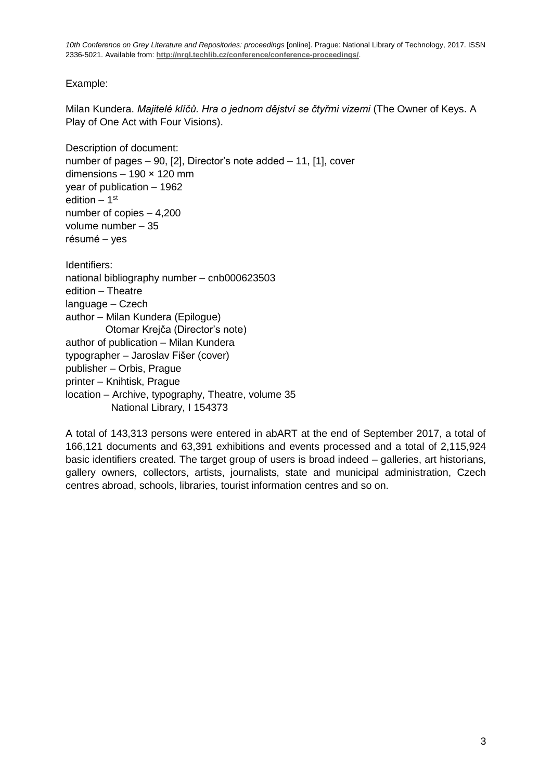Example:

Milan Kundera. *Majitelé klíčů. Hra o jednom dějství se čtyřmi vizemi* (The Owner of Keys. A Play of One Act with Four Visions).

Description of document: number of pages – 90, [2], Director's note added – 11, [1], cover dimensions *–* 190 × 120 mm year of publication *–* 1962 edition *–* 1 st number of copies *–* 4,200 volume number *–* 35 résumé – yes Identifiers: national bibliography number *–* cnb000623503 edition *–* Theatre language *–* Czech author *–* Milan Kundera (Epilogue) Otomar Krejča (Director's note) author of publication *–* Milan Kundera typographer – Jaroslav Fišer (cover) publisher – Orbis, Prague printer *–* Knihtisk, Prague location *–* Archive, typography, Theatre, volume 35 National Library, I 154373

A total of 143,313 persons were entered in abART at the end of September 2017, a total of 166,121 documents and 63,391 exhibitions and events processed and a total of 2,115,924 basic identifiers created. The target group of users is broad indeed *–* galleries, art historians, gallery owners, collectors, artists, journalists, state and municipal administration, Czech centres abroad, schools, libraries, tourist information centres and so on.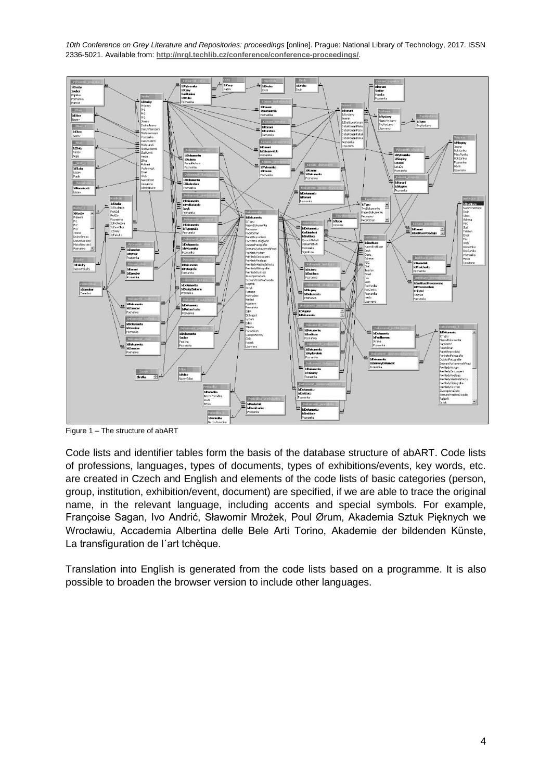

Figure 1 *–* The structure of abART

Code lists and identifier tables form the basis of the database structure of abART. Code lists of professions, languages, types of documents, types of exhibitions/events, key words, etc. are created in Czech and English and elements of the code lists of basic categories (person, group, institution, exhibition/event, document) are specified, if we are able to trace the original name, in the relevant language, including accents and special symbols. For example, Françoise Sagan, Ivo Andrić, Sławomir Mrożek, Poul Ørum, Akademia Sztuk Pięknych we Wrocławiu, Accademia Albertina delle Bele Arti Torino, Akademie der bildenden Künste, La transfiguration de l´art tchèque.

Translation into English is generated from the code lists based on a programme. It is also possible to broaden the browser version to include other languages.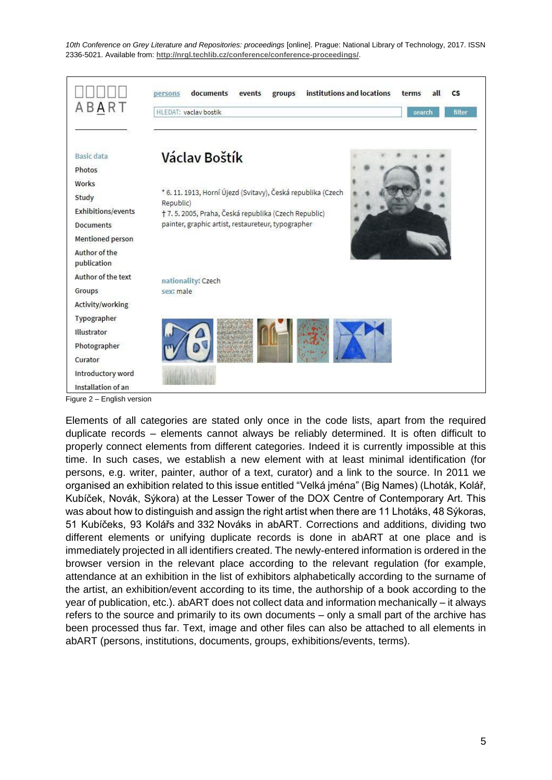

Figure 2 *–* English version

Elements of all categories are stated only once in the code lists, apart from the required duplicate records *–* elements cannot always be reliably determined. It is often difficult to properly connect elements from different categories. Indeed it is currently impossible at this time. In such cases, we establish a new element with at least minimal identification (for persons, e.g. writer, painter, author of a text, curator) and a link to the source. In 2011 we organised an exhibition related to this issue entitled "Velká jména" (Big Names) (Lhoták, Kolář, Kubíček, Novák, Sýkora) at the Lesser Tower of the DOX Centre of Contemporary Art. This was about how to distinguish and assign the right artist when there are 11 Lhotáks, 48 Sýkoras, 51 Kubíčeks, 93 Kolářs and 332 Nováks in abART. Corrections and additions, dividing two different elements or unifying duplicate records is done in abART at one place and is immediately projected in all identifiers created. The newly-entered information is ordered in the browser version in the relevant place according to the relevant regulation (for example, attendance at an exhibition in the list of exhibitors alphabetically according to the surname of the artist, an exhibition/event according to its time, the authorship of a book according to the year of publication, etc.). abART does not collect data and information mechanically *–* it always refers to the source and primarily to its own documents *–* only a small part of the archive has been processed thus far. Text, image and other files can also be attached to all elements in abART (persons, institutions, documents, groups, exhibitions/events, terms).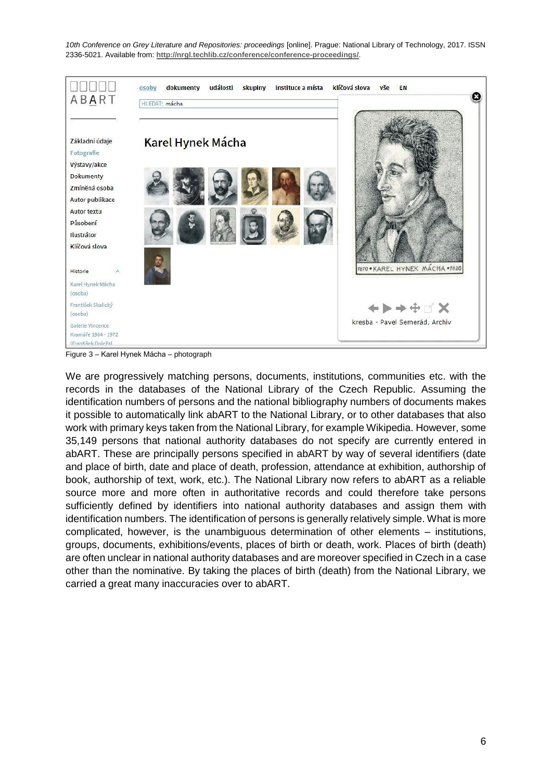

Figure 3 – Karel Hynek Mácha *–* photograph

We are progressively matching persons, documents, institutions, communities etc. with the records in the databases of the National Library of the Czech Republic. Assuming the identification numbers of persons and the national bibliography numbers of documents makes it possible to automatically link abART to the National Library, or to other databases that also work with primary keys taken from the National Library, for example Wikipedia. However, some 35,149 persons that national authority databases do not specify are currently entered in abART. These are principally persons specified in abART by way of several identifiers (date and place of birth, date and place of death, profession, attendance at exhibition, authorship of book, authorship of text, work, etc.). The National Library now refers to abART as a reliable source more and more often in authoritative records and could therefore take persons sufficiently defined by identifiers into national authority databases and assign them with identification numbers. The identification of persons is generally relatively simple. What is more complicated, however, is the unambiguous determination of other elements *–* institutions, groups, documents, exhibitions/events, places of birth or death, work. Places of birth (death) are often unclear in national authority databases and are moreover specified in Czech in a case other than the nominative. By taking the places of birth (death) from the National Library, we carried a great many inaccuracies over to abART.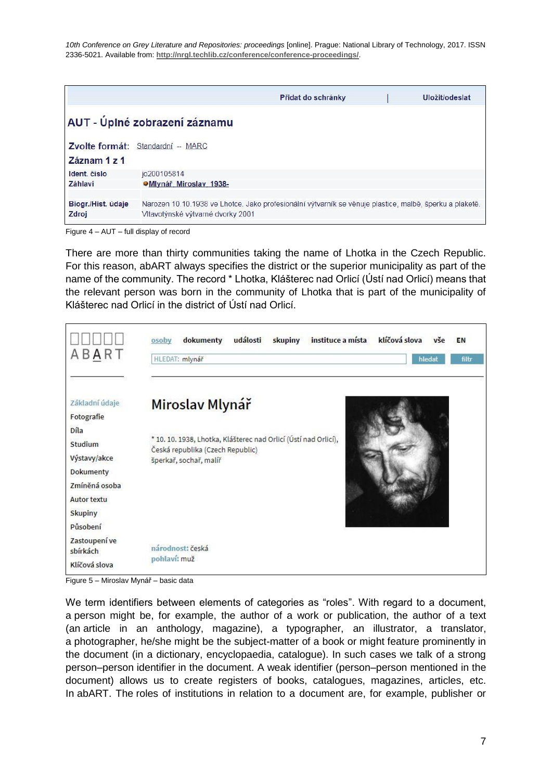|                   |                                   | Přidat do schránky                                                                                      | Uložit/odeslat |
|-------------------|-----------------------------------|---------------------------------------------------------------------------------------------------------|----------------|
|                   | AUT - Úplné zobrazení záznamu     |                                                                                                         |                |
|                   | Zvolte formát: Standardní -- MARC |                                                                                                         |                |
| Záznam 1 z 1      |                                   |                                                                                                         |                |
| Ident. číslo      | io200105814                       |                                                                                                         |                |
| Záhlaví           | OMIvnář. Miroslav. 1938-          |                                                                                                         |                |
|                   |                                   |                                                                                                         |                |
| Biogr/Hist. údaje |                                   | Narozen 10.10.1938 ve Lhotce, Jako profesionální výtvarník se věnuje plastice, malbě, šperku a plaketě. |                |
| Zdroj             | Vltavotýnské výtvarné dvorky 2001 |                                                                                                         |                |

Figure 4 *–* AUT – full display of record

There are more than thirty communities taking the name of Lhotka in the Czech Republic. For this reason, abART always specifies the district or the superior municipality as part of the name of the community. The record \* Lhotka, Klášterec nad Orlicí (Ústí nad Orlicí) means that the relevant person was born in the community of Lhotka that is part of the municipality of Klášterec nad Orlicí in the district of Ústí nad Orlicí.



Figure 5 – Miroslav Mynář – basic data

We term identifiers between elements of categories as "roles". With regard to a document, a person might be, for example, the author of a work or publication, the author of a text (an article in an anthology, magazine), a typographer, an illustrator, a translator, a photographer, he/she might be the subject-matter of a book or might feature prominently in the document (in a dictionary, encyclopaedia, catalogue). In such cases we talk of a strong person–person identifier in the document. A weak identifier (person–person mentioned in the document) allows us to create registers of books, catalogues, magazines, articles, etc. In abART. The roles of institutions in relation to a document are, for example, publisher or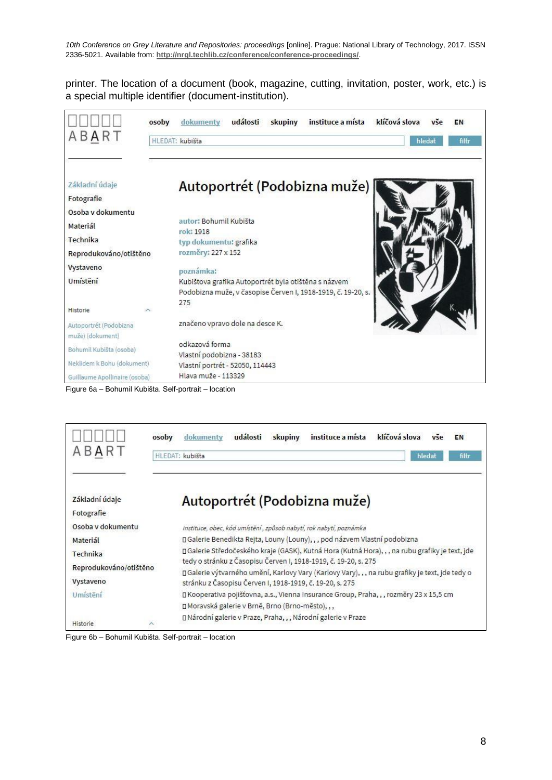printer. The location of a document (book, magazine, cutting, invitation, poster, work, etc.) is a special multiple identifier (document-institution).



Figure 6a – Bohumil Kubišta. Self-portrait *–* location

| ABART                  | instituce a místa<br>klíčová slova<br>dokumenty<br>události<br>osoby<br>skupiny<br>vše<br>EN<br>HLEDAT: kubišta<br>hledat<br>filtr                           |  |  |
|------------------------|--------------------------------------------------------------------------------------------------------------------------------------------------------------|--|--|
| Základní údaje         | Autoportrét (Podobizna muže)                                                                                                                                 |  |  |
| Fotografie             |                                                                                                                                                              |  |  |
| Osoba v dokumentu      | instituce, obec, kód umístění, způsob nabytí, rok nabytí, poznámka                                                                                           |  |  |
| Materiál               | □ Galerie Benedikta Rejta, Louny (Louny), , , pod názvem Vlastní podobizna                                                                                   |  |  |
| Technika               | □ Galerie Středočeského kraje (GASK), Kutná Hora (Kutná Hora),,, na rubu grafiky je text, jde                                                                |  |  |
| Reprodukováno/otištěno | tedy o stránku z Časopisu Červen I, 1918-1919, č. 19-20, s. 275                                                                                              |  |  |
| Vystaveno              | □ Galerie výtvarného umění, Karlovy Vary (Karlovy Vary), , , na rubu grafiky je text, jde tedy o<br>stránku z Časopisu Červen I, 1918-1919, č. 19-20, s. 275 |  |  |
| Umístění               | □ Kooperativa pojišťovna, a.s., Vienna Insurance Group, Praha, , , rozměry 23 x 15,5 cm                                                                      |  |  |
|                        | □ Moravská galerie v Brně, Brno (Brno-město), , ,                                                                                                            |  |  |
| $\lambda$<br>Historie  | □ Národní galerie v Praze, Praha, , , Národní galerie v Praze                                                                                                |  |  |

Figure 6b – Bohumil Kubišta. Self-portrait *–* location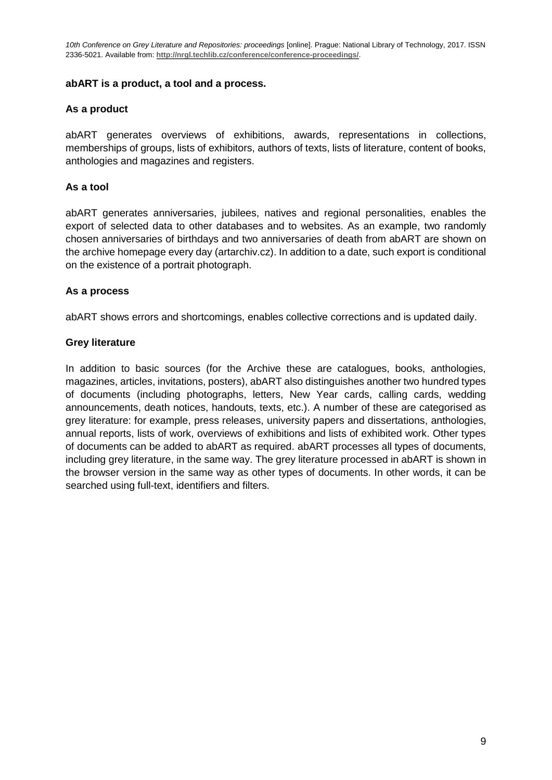#### **abART is a product, a tool and a process.**

#### **As a product**

abART generates overviews of exhibitions, awards, representations in collections, memberships of groups, lists of exhibitors, authors of texts, lists of literature, content of books, anthologies and magazines and registers.

#### **As a tool**

abART generates anniversaries, jubilees, natives and regional personalities, enables the export of selected data to other databases and to websites. As an example, two randomly chosen anniversaries of birthdays and two anniversaries of death from abART are shown on the archive homepage every day (artarchiv.cz). In addition to a date, such export is conditional on the existence of a portrait photograph.

#### **As a process**

abART shows errors and shortcomings, enables collective corrections and is updated daily.

#### **Grey literature**

In addition to basic sources (for the Archive these are catalogues, books, anthologies, magazines, articles, invitations, posters), abART also distinguishes another two hundred types of documents (including photographs, letters, New Year cards, calling cards, wedding announcements, death notices, handouts, texts, etc.). A number of these are categorised as grey literature: for example, press releases, university papers and dissertations, anthologies, annual reports, lists of work, overviews of exhibitions and lists of exhibited work. Other types of documents can be added to abART as required. abART processes all types of documents, including grey literature, in the same way. The grey literature processed in abART is shown in the browser version in the same way as other types of documents. In other words, it can be searched using full-text, identifiers and filters.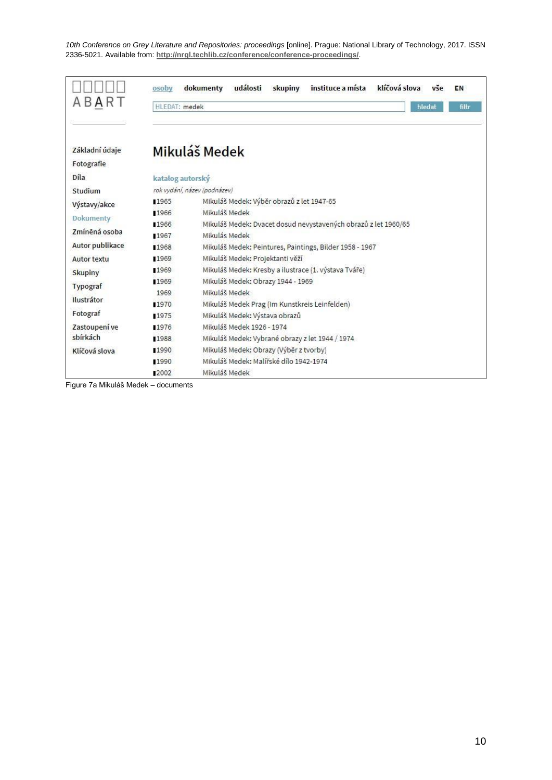|                    | osoby                        | klíčová slova<br>události<br>instituce a místa<br>dokumenty<br>skupiny<br>vše<br>EN |
|--------------------|------------------------------|-------------------------------------------------------------------------------------|
| BART               | HLEDAT: medek                | hledat<br>filtr                                                                     |
|                    |                              |                                                                                     |
| Základní údaje     |                              | Mikuláš Medek                                                                       |
| Fotografie         |                              |                                                                                     |
| Díla               | katalog autorský             |                                                                                     |
| Studium            | rok vydání, název (podnázev) |                                                                                     |
| Výstavy/akce       | 1965                         | Mikuláš Medek: Výběr obrazů z let 1947-65                                           |
| Dokumenty          | ■1966                        | Mikuláš Medek                                                                       |
| Zmíněná osoba      | ■1966                        | Mikuláš Medek: Dvacet dosud nevystavených obrazů z let 1960/65                      |
|                    | 1967                         | Mikulás Medek                                                                       |
| Autor publikace    | ■1968                        | Mikuláš Medek: Peintures, Paintings, Bilder 1958 - 1967                             |
| <b>Autor textu</b> | 11969                        | Mikuláš Medek: Projektanti věží                                                     |
| Skupiny            | 1969                         | Mikuláš Medek: Kresby a ilustrace (1. výstava Tváře)                                |
| Typograf           | 1969                         | Mikuláš Medek: Obrazy 1944 - 1969                                                   |
| Ilustrátor         | 1969                         | Mikuláš Medek                                                                       |
|                    | ■1970                        | Mikuláš Medek Prag (Im Kunstkreis Leinfelden)                                       |
| Fotograf           | ■1975                        | Mikuláš Medek: Výstava obrazů                                                       |
| Zastoupení ve      | 1976                         | Mikuláš Medek 1926 - 1974                                                           |
| sbírkách           | ■1988                        | Mikuláš Medek: Vybrané obrazy z let 1944 / 1974                                     |
| Klíčová slova      | 1990                         | Mikuláš Medek: Obrazy (Výběr z tvorby)                                              |
|                    | 1990                         | Mikuláš Medek: Malířské dílo 1942-1974                                              |
|                    | 12002                        | Mikuláš Medek                                                                       |

Figure 7a Mikuláš Medek – documents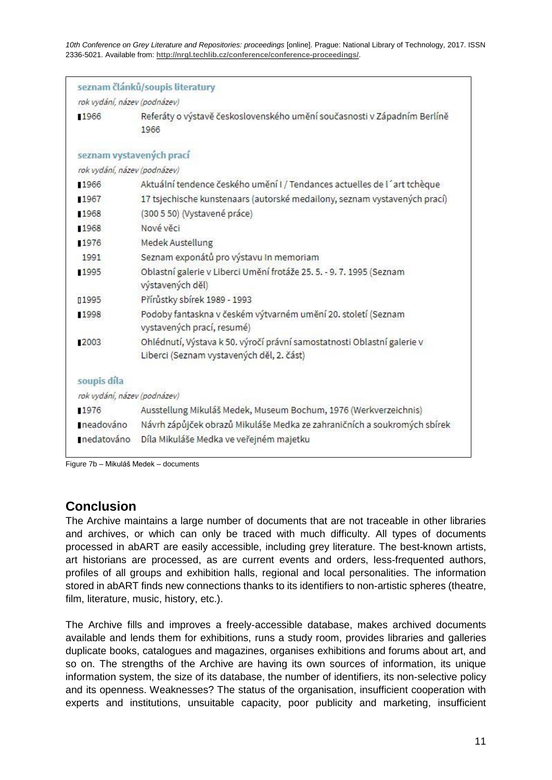|                              | seznam článků/soupis literatury                                                                                      |  |
|------------------------------|----------------------------------------------------------------------------------------------------------------------|--|
| rok vydání, název (podnázev) |                                                                                                                      |  |
| 1966                         | Referáty o výstavě československého umění současnosti v Západním Berlíně<br>1966                                     |  |
| seznam vystavených prací     |                                                                                                                      |  |
| rok vydání, název (podnázev) |                                                                                                                      |  |
| 1966                         | Aktuální tendence českého umění I / Tendances actuelles de l'art tchèque                                             |  |
| 1967                         | 17 tsjechische kunstenaars (autorské medailony, seznam vystavených prací)                                            |  |
| ■1968                        | (300 5 50) (Vystavené práce)                                                                                         |  |
| ■1968                        | Nové věci                                                                                                            |  |
| 1976                         | Medek Austellung                                                                                                     |  |
| 1991                         | Seznam exponátů pro výstavu In memoriam                                                                              |  |
| 1995                         | Oblastní galerie v Liberci Umění frotáže 25. 5. - 9. 7. 1995 (Seznam<br>výstavených děl)                             |  |
| n1995                        | Přírůstky sbírek 1989 - 1993                                                                                         |  |
| 1998                         | Podoby fantaskna v českém výtvarném umění 20. století (Seznam<br>vystavených prací, resumé)                          |  |
| 2003                         | Ohlédnutí, Výstava k 50. výročí právní samostatnosti Oblastní galerie v<br>Liberci (Seznam vystavených děl, 2. část) |  |
| soupis díla                  |                                                                                                                      |  |
| rok vydání, název (podnázev) |                                                                                                                      |  |
| 1976                         | Ausstellung Mikuláš Medek, Museum Bochum, 1976 (Werkverzeichnis)                                                     |  |
| neadováno                    | Návrh zápůjček obrazů Mikuláše Medka ze zahraničních a soukromých sbírek                                             |  |
|                              | nedatováno Díla Mikuláše Medka ve veřejném majetku                                                                   |  |

Figure 7b *–* Mikuláš Medek – documents

# **Conclusion**

The Archive maintains a large number of documents that are not traceable in other libraries and archives, or which can only be traced with much difficulty. All types of documents processed in abART are easily accessible, including grey literature. The best-known artists, art historians are processed, as are current events and orders, less-frequented authors, profiles of all groups and exhibition halls, regional and local personalities. The information stored in abART finds new connections thanks to its identifiers to non-artistic spheres (theatre, film, literature, music, history, etc.).

The Archive fills and improves a freely-accessible database, makes archived documents available and lends them for exhibitions, runs a study room, provides libraries and galleries duplicate books, catalogues and magazines, organises exhibitions and forums about art, and so on. The strengths of the Archive are having its own sources of information, its unique information system, the size of its database, the number of identifiers, its non-selective policy and its openness. Weaknesses? The status of the organisation, insufficient cooperation with experts and institutions, unsuitable capacity, poor publicity and marketing, insufficient